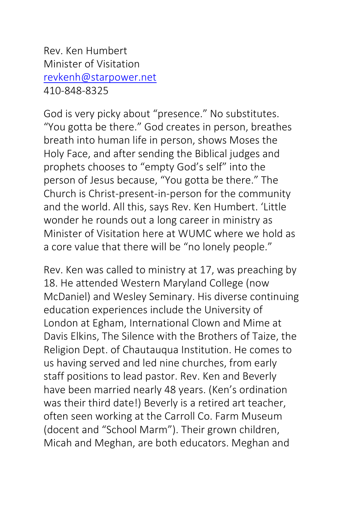Rev. Ken Humbert Minister of Visitation [revkenh@starpower.net](mailto:revkenh@starpower.net) 410-848-8325

God is very picky about "presence." No substitutes. "You gotta be there." God creates in person, breathes breath into human life in person, shows Moses the Holy Face, and after sending the Biblical judges and prophets chooses to "empty God's self" into the person of Jesus because, "You gotta be there." The Church is Christ-present-in-person for the community and the world. All this, says Rev. Ken Humbert. 'Little wonder he rounds out a long career in ministry as Minister of Visitation here at WUMC where we hold as a core value that there will be "no lonely people."

Rev. Ken was called to ministry at 17, was preaching by 18. He attended Western Maryland College (now McDaniel) and Wesley Seminary. His diverse continuing education experiences include the University of London at Egham, International Clown and Mime at Davis Elkins, The Silence with the Brothers of Taize, the Religion Dept. of Chautauqua Institution. He comes to us having served and led nine churches, from early staff positions to lead pastor. Rev. Ken and Beverly have been married nearly 48 years. (Ken's ordination was their third date!) Beverly is a retired art teacher, often seen working at the Carroll Co. Farm Museum (docent and "School Marm"). Their grown children, Micah and Meghan, are both educators. Meghan and